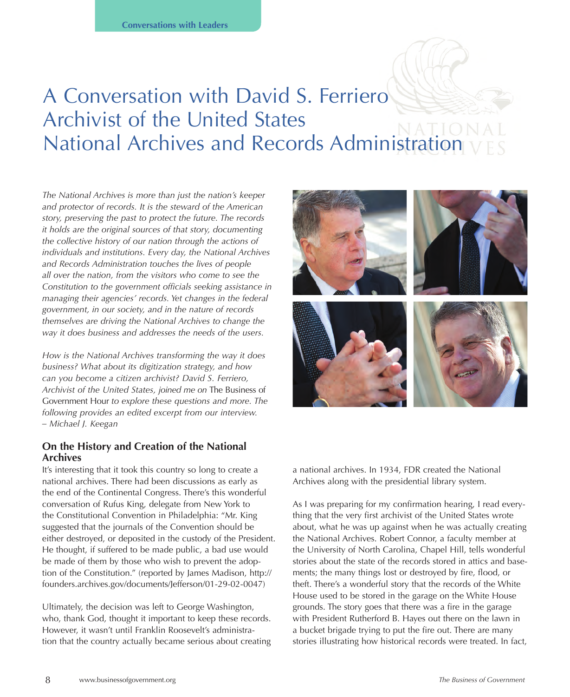# A Conversation with David S. Ferriero Archivist of the United States National Archives and Records Administration

*The National Archives is more than just the nation's keeper and protector of records. It is the steward of the American story, preserving the past to protect the future. The records it holds are the original sources of that story, documenting the collective history of our nation through the actions of individuals and institutions. Every day, the National Archives and Records Administration touches the lives of people all over the nation, from the visitors who come to see the Constitution to the government officials seeking assistance in managing their agencies' records. Yet changes in the federal government, in our society, and in the nature of records themselves are driving the National Archives to change the way it does business and addresses the needs of the users.* 

*How is the National Archives transforming the way it does business? What about its digitization strategy, and how can you become a citizen archivist? David S. Ferriero, Archivist of the United States, joined me on* The Business of Government Hour *to explore these questions and more. The following provides an edited excerpt from our interview. – Michael J. Keegan*

#### **On the History and Creation of the National Archives**

It's interesting that it took this country so long to create a national archives. There had been discussions as early as the end of the Continental Congress. There's this wonderful conversation of Rufus King, delegate from New York to the Constitutional Convention in Philadelphia: "Mr. King suggested that the journals of the Convention should be either destroyed, or deposited in the custody of the President. He thought, if suffered to be made public, a bad use would be made of them by those who wish to prevent the adoption of the Constitution." (reported by James Madison, http:// founders.archives.gov/documents/Jefferson/01-29-02-0047)

Ultimately, the decision was left to George Washington, who, thank God, thought it important to keep these records. However, it wasn't until Franklin Roosevelt's administration that the country actually became serious about creating



a national archives. In 1934, FDR created the National Archives along with the presidential library system.

As I was preparing for my confirmation hearing, I read everything that the very first archivist of the United States wrote about, what he was up against when he was actually creating the National Archives. Robert Connor, a faculty member at the University of North Carolina, Chapel Hill, tells wonderful stories about the state of the records stored in attics and basements; the many things lost or destroyed by fire, flood, or theft. There's a wonderful story that the records of the White House used to be stored in the garage on the White House grounds. The story goes that there was a fire in the garage with President Rutherford B. Hayes out there on the lawn in a bucket brigade trying to put the fire out. There are many stories illustrating how historical records were treated. In fact,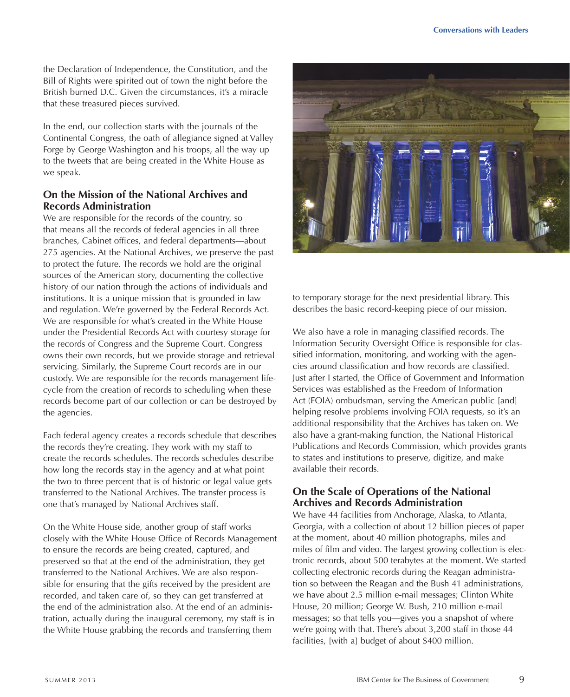the Declaration of Independence, the Constitution, and the Bill of Rights were spirited out of town the night before the British burned D.C. Given the circumstances, it's a miracle that these treasured pieces survived.

In the end, our collection starts with the journals of the Continental Congress, the oath of allegiance signed at Valley Forge by George Washington and his troops, all the way up to the tweets that are being created in the White House as we speak.

# **On the Mission of the National Archives and Records Administration**

We are responsible for the records of the country, so that means all the records of federal agencies in all three branches, Cabinet offices, and federal departments—about 275 agencies. At the National Archives, we preserve the past to protect the future. The records we hold are the original sources of the American story, documenting the collective history of our nation through the actions of individuals and institutions. It is a unique mission that is grounded in law and regulation. We're governed by the Federal Records Act. We are responsible for what's created in the White House under the Presidential Records Act with courtesy storage for the records of Congress and the Supreme Court. Congress owns their own records, but we provide storage and retrieval servicing. Similarly, the Supreme Court records are in our custody. We are responsible for the records management lifecycle from the creation of records to scheduling when these records become part of our collection or can be destroyed by the agencies.

Each federal agency creates a records schedule that describes the records they're creating. They work with my staff to create the records schedules. The records schedules describe how long the records stay in the agency and at what point the two to three percent that is of historic or legal value gets transferred to the National Archives. The transfer process is one that's managed by National Archives staff.

On the White House side, another group of staff works closely with the White House Office of Records Management to ensure the records are being created, captured, and preserved so that at the end of the administration, they get transferred to the National Archives. We are also responsible for ensuring that the gifts received by the president are recorded, and taken care of, so they can get transferred at the end of the administration also. At the end of an administration, actually during the inaugural ceremony, my staff is in the White House grabbing the records and transferring them



to temporary storage for the next presidential library. This describes the basic record-keeping piece of our mission.

We also have a role in managing classified records. The Information Security Oversight Office is responsible for classified information, monitoring, and working with the agencies around classification and how records are classified. Just after I started, the Office of Government and Information Services was established as the Freedom of Information Act (FOIA) ombudsman, serving the American public [and] helping resolve problems involving FOIA requests, so it's an additional responsibility that the Archives has taken on. We also have a grant-making function, the National Historical Publications and Records Commission, which provides grants to states and institutions to preserve, digitize, and make available their records.

## **On the Scale of Operations of the National Archives and Records Administration**

We have 44 facilities from Anchorage, Alaska, to Atlanta, Georgia, with a collection of about 12 billion pieces of paper at the moment, about 40 million photographs, miles and miles of film and video. The largest growing collection is electronic records, about 500 terabytes at the moment. We started collecting electronic records during the Reagan administration so between the Reagan and the Bush 41 administrations, we have about 2.5 million e-mail messages; Clinton White House, 20 million; George W. Bush, 210 million e-mail messages; so that tells you—gives you a snapshot of where we're going with that. There's about 3,200 staff in those 44 facilities, [with a] budget of about \$400 million.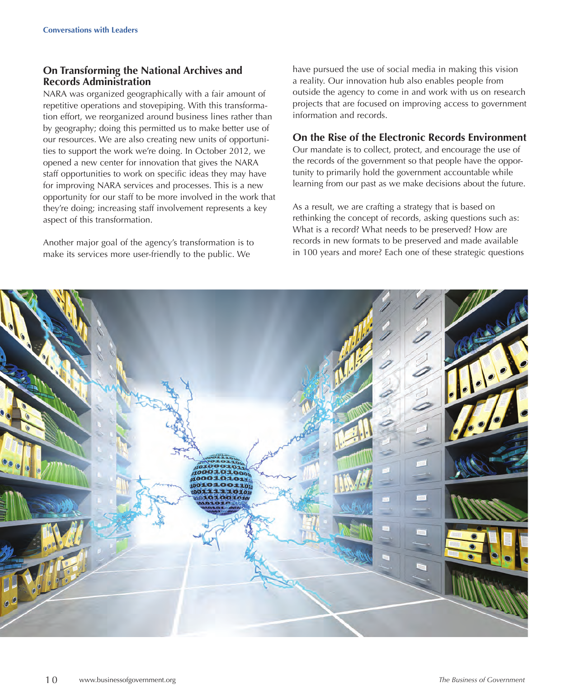# **On Transforming the National Archives and Records Administration**

NARA was organized geographically with a fair amount of repetitive operations and stovepiping. With this transformation effort, we reorganized around business lines rather than by geography; doing this permitted us to make better use of our resources. We are also creating new units of opportunities to support the work we're doing. In October 2012, we opened a new center for innovation that gives the NARA staff opportunities to work on specific ideas they may have for improving NARA services and processes. This is a new opportunity for our staff to be more involved in the work that they're doing; increasing staff involvement represents a key aspect of this transformation.

Another major goal of the agency's transformation is to make its services more user-friendly to the public. We

have pursued the use of social media in making this vision a reality. Our innovation hub also enables people from outside the agency to come in and work with us on research projects that are focused on improving access to government information and records.

## **On the Rise of the Electronic Records Environment**

Our mandate is to collect, protect, and encourage the use of the records of the government so that people have the opportunity to primarily hold the government accountable while learning from our past as we make decisions about the future.

As a result, we are crafting a strategy that is based on rethinking the concept of records, asking questions such as: What is a record? What needs to be preserved? How are records in new formats to be preserved and made available in 100 years and more? Each one of these strategic questions

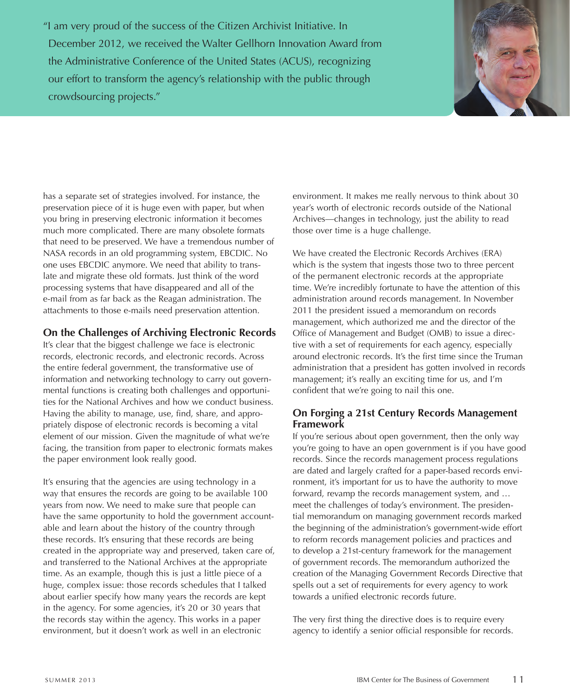"I am very proud of the success of the Citizen Archivist Initiative. In December 2012, we received the Walter Gellhorn Innovation Award from the Administrative Conference of the United States (ACUS), recognizing our effort to transform the agency's relationship with the public through crowdsourcing projects."



has a separate set of strategies involved. For instance, the preservation piece of it is huge even with paper, but when you bring in preserving electronic information it becomes much more complicated. There are many obsolete formats that need to be preserved. We have a tremendous number of NASA records in an old programming system, EBCDIC. No one uses EBCDIC anymore. We need that ability to translate and migrate these old formats. Just think of the word processing systems that have disappeared and all of the e-mail from as far back as the Reagan administration. The attachments to those e-mails need preservation attention.

## **On the Challenges of Archiving Electronic Records**

It's clear that the biggest challenge we face is electronic records, electronic records, and electronic records. Across the entire federal government, the transformative use of information and networking technology to carry out governmental functions is creating both challenges and opportunities for the National Archives and how we conduct business. Having the ability to manage, use, find, share, and appropriately dispose of electronic records is becoming a vital element of our mission. Given the magnitude of what we're facing, the transition from paper to electronic formats makes the paper environment look really good.

It's ensuring that the agencies are using technology in a way that ensures the records are going to be available 100 years from now. We need to make sure that people can have the same opportunity to hold the government accountable and learn about the history of the country through these records. It's ensuring that these records are being created in the appropriate way and preserved, taken care of, and transferred to the National Archives at the appropriate time. As an example, though this is just a little piece of a huge, complex issue: those records schedules that I talked about earlier specify how many years the records are kept in the agency. For some agencies, it's 20 or 30 years that the records stay within the agency. This works in a paper environment, but it doesn't work as well in an electronic

environment. It makes me really nervous to think about 30 year's worth of electronic records outside of the National Archives—changes in technology, just the ability to read those over time is a huge challenge.

We have created the Electronic Records Archives (ERA) which is the system that ingests those two to three percent of the permanent electronic records at the appropriate time. We're incredibly fortunate to have the attention of this administration around records management. In November 2011 the president issued a memorandum on records management, which authorized me and the director of the Office of Management and Budget (OMB) to issue a directive with a set of requirements for each agency, especially around electronic records. It's the first time since the Truman administration that a president has gotten involved in records management; it's really an exciting time for us, and I'm confident that we're going to nail this one.

## **On Forging a 21st Century Records Management Framework**

If you're serious about open government, then the only way you're going to have an open government is if you have good records. Since the records management process regulations are dated and largely crafted for a paper-based records environment, it's important for us to have the authority to move forward, revamp the records management system, and … meet the challenges of today's environment. The presidential memorandum on managing government records marked the beginning of the administration's government-wide effort to reform records management policies and practices and to develop a 21st-century framework for the management of government records. The memorandum authorized the creation of the Managing Government Records Directive that spells out a set of requirements for every agency to work towards a unified electronic records future.

The very first thing the directive does is to require every agency to identify a senior official responsible for records.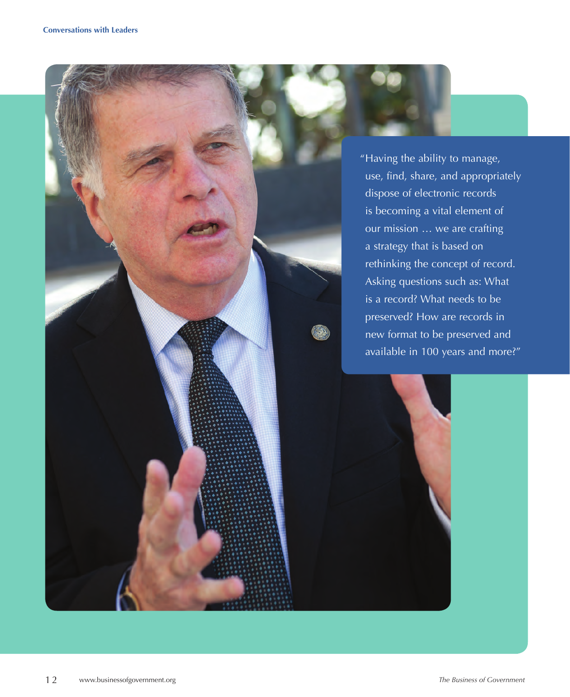